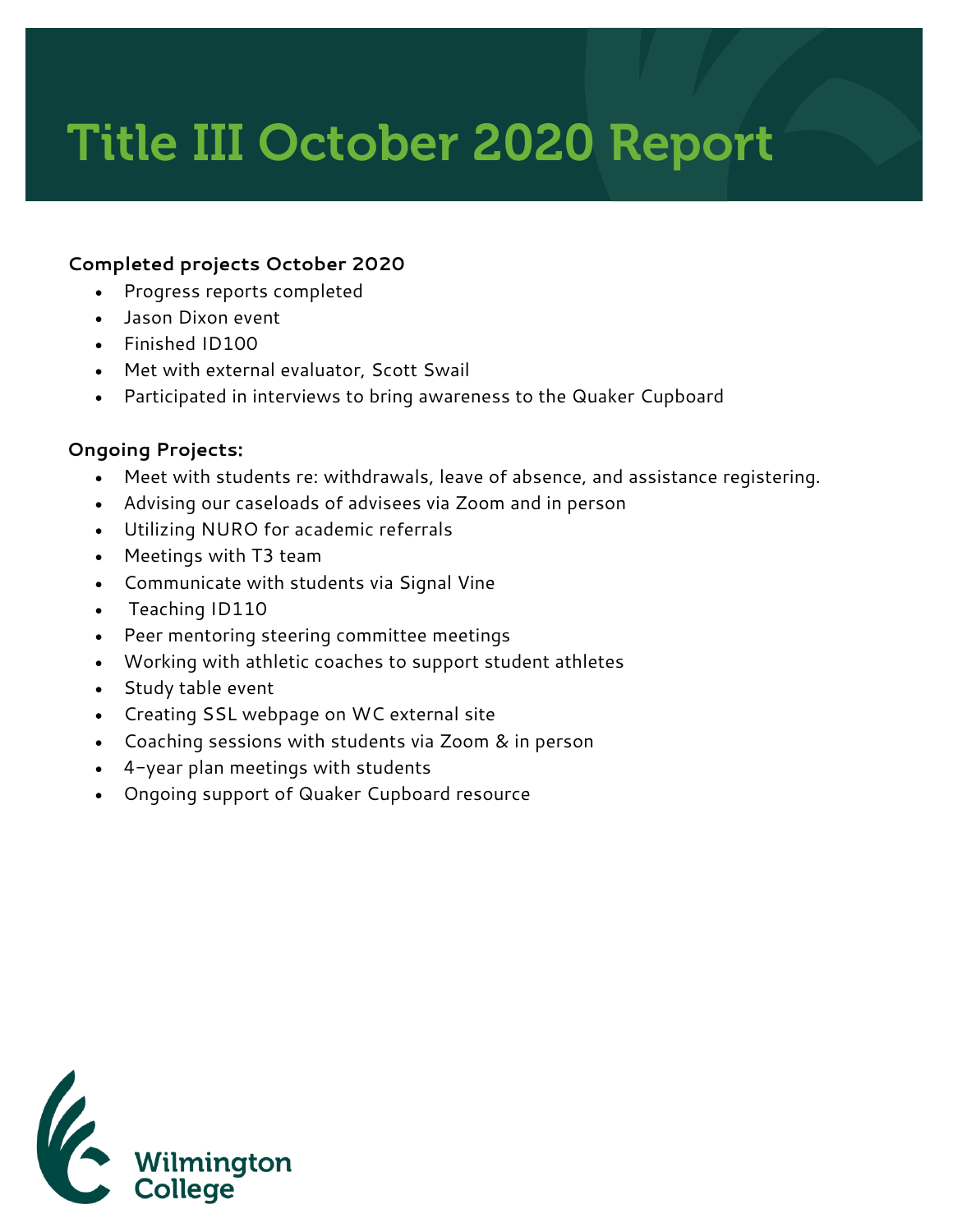## Title III October 2020 Report

## **Completed projects October 2020**

- Progress reports completed
- Jason Dixon event
- Finished ID100
- Met with external evaluator, Scott Swail
- Participated in interviews to bring awareness to the Quaker Cupboard

## **Ongoing Projects:**

- Meet with students re: withdrawals, leave of absence, and assistance registering.
- Advising our caseloads of advisees via Zoom and in person
- Utilizing NURO for academic referrals
- Meetings with T3 team
- Communicate with students via Signal Vine
- Teaching ID110
- Peer mentoring steering committee meetings
- Working with athletic coaches to support student athletes
- Study table event
- Creating SSL webpage on WC external site
- Coaching sessions with students via Zoom & in person
- 4-year plan meetings with students
- Ongoing support of Quaker Cupboard resource